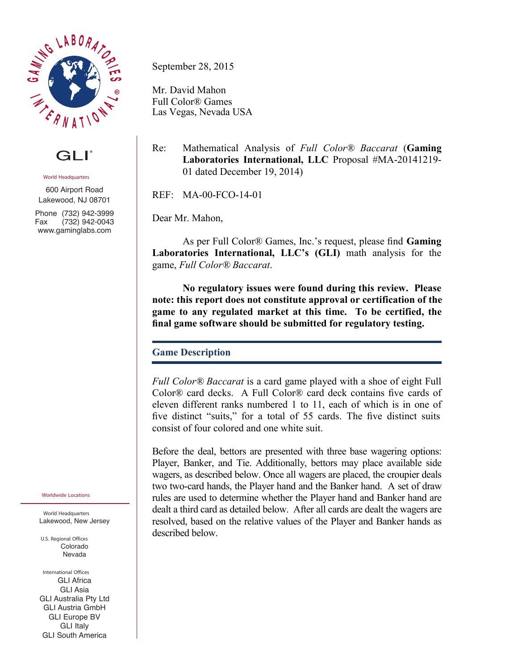

GLI®

**World Headquarters**

600 Airport Road Lakewood, NJ 08701

Phone (732) 942-3999 Fax (732) 942-0043 www.gaminglabs.com

**Worldwide Locations**

**World Headquarters** Lakewood, New Jersey

**U.S. Regional Offices** Colorado Nevada

**International Offices** GLI Africa GLI Asia GLI Australia Pty Ltd GLI Austria GmbH GLI Europe BV **GLI** Italy GLI South America

September 28, 2015

Mr. David Mahon Full Color® Games Las Vegas, Nevada USA

Re: Mathematical Analysis of *Full Color® Baccarat* (**Gaming Laboratories International, LLC** Proposal #MA-20141219- 01 dated December 19, 2014)

REF: MA-00-FCO-14-01

Dear Mr. Mahon,

As per Full Color® Games, Inc.'s request, please find **Gaming Laboratories International, LLC's (GLI)** math analysis for the game, *Full Color® Baccarat*.

**No regulatory issues were found during this review. Please note: this report does not constitute approval or certification of the game to any regulated market at this time. To be certified, the final game software should be submitted for regulatory testing.**

## **Game Description**

*Full Color® Baccarat* is a card game played with a shoe of eight Full Color® card decks. A Full Color® card deck contains five cards of eleven different ranks numbered 1 to 11, each of which is in one of five distinct "suits," for a total of 55 cards. The five distinct suits consist of four colored and one white suit.

Before the deal, bettors are presented with three base wagering options: Player, Banker, and Tie. Additionally, bettors may place available side wagers, as described below. Once all wagers are placed, the croupier deals two two-card hands, the Player hand and the Banker hand. A set of draw rules are used to determine whether the Player hand and Banker hand are dealt a third card as detailed below. After all cards are dealt the wagers are resolved, based on the relative values of the Player and Banker hands as described below.